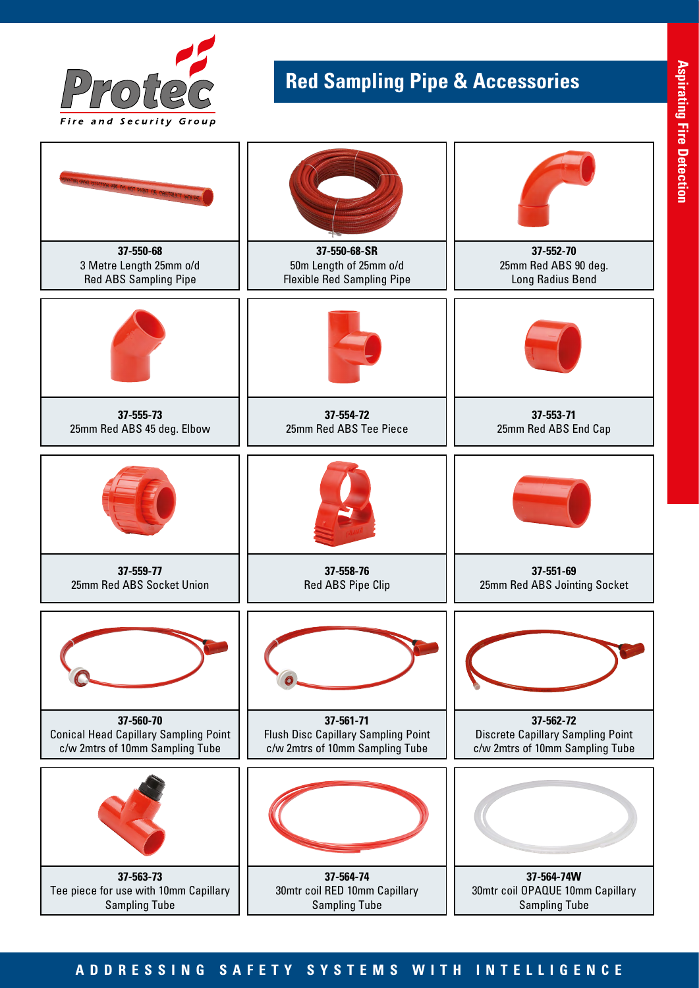

## **Red Sampling Pipe & Accessories**



## **ADDRESSING SAFETY SYSTEMS WITH INTELLIGENCE**